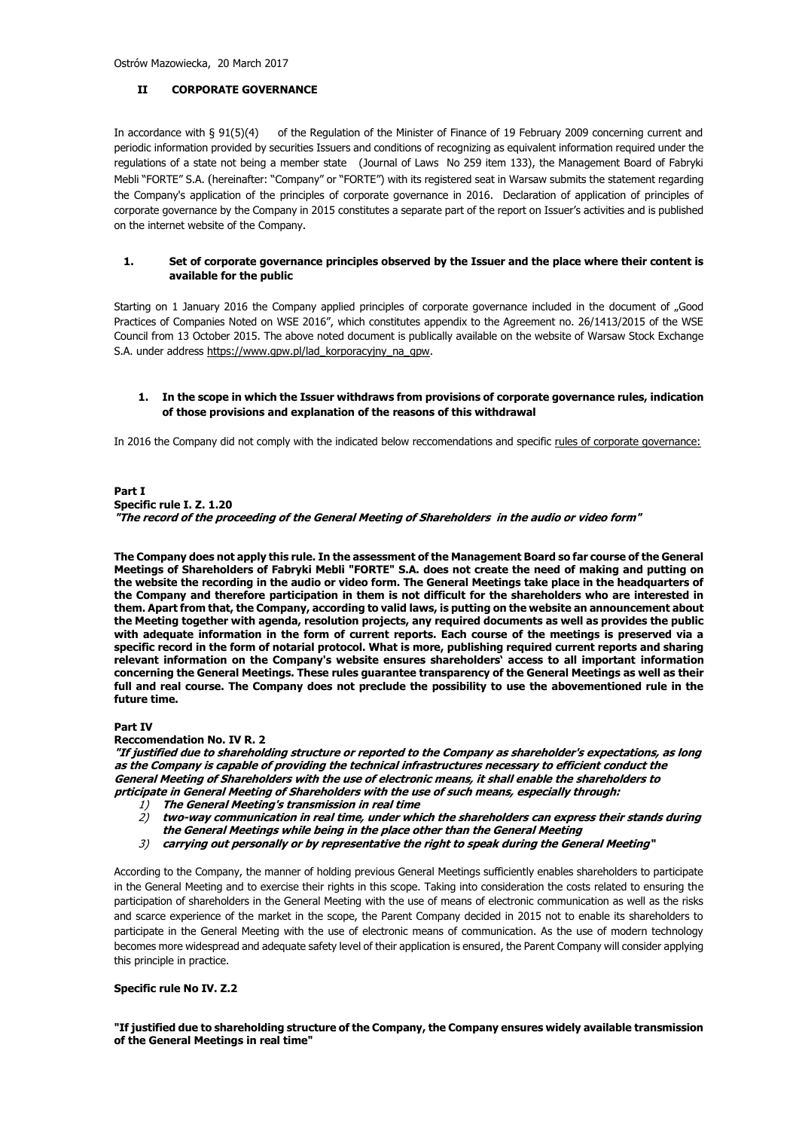Ostrów Mazowiecka, 20 March 2017

### **II CORPORATE GOVERNANCE**

In accordance with § 91(5)(4) of the Regulation of the Minister of Finance of 19 February 2009 concerning current and periodic information provided by securities Issuers and conditions of recognizing as equivalent information required under the regulations of a state not being a member state (Journal of Laws No 259 item 133), the Management Board of Fabryki Mebli "FORTE" S.A. (hereinafter: "Company" or "FORTE") with its registered seat in Warsaw submits the statement regarding the Company's application of the principles of corporate governance in 2016. Declaration of application of principles of corporate governance by the Company in 2015 constitutes a separate part of the report on Issuer's activities and is published on the internet website of the Company.

#### **1. Set of corporate governance principles observed by the Issuer and the place where their content is available for the public**

Starting on 1 January 2016 the Company applied principles of corporate governance included in the document of "Good Practices of Companies Noted on WSE 2016", which constitutes appendix to the Agreement no. 26/1413/2015 of the WSE Council from 13 October 2015. The above noted document is publically available on the website of Warsaw Stock Exchange S.A. under address [https://www.gpw.pl/lad\\_korporacyjny\\_na\\_gpw.](https://www.gpw.pl/lad_korporacyjny_na_gpw)

#### **1. In the scope in which the Issuer withdraws from provisions of corporate governance rules, indication of those provisions and explanation of the reasons of this withdrawal**

In 2016 the Company did not comply with the indicated below reccomendations and specific rules of corporate governance:

**Part I Specific rule I. Z. 1.20 "The record of the proceeding of the General Meeting of Shareholders in the audio or video form"**

**The Company does not apply this rule. In the assessment of the Management Board so far course of the General Meetings of Shareholders of Fabryki Mebli "FORTE" S.A. does not create the need of making and putting on the website the recording in the audio or video form. The General Meetings take place in the headquarters of the Company and therefore participation in them is not difficult for the shareholders who are interested in them. Apart from that, the Company, according to valid laws, is putting on the website an announcement about the Meeting together with agenda, resolution projects, any required documents as well as provides the public with adequate information in the form of current reports. Each course of the meetings is preserved via a specific record in the form of notarial protocol. What is more, publishing required current reports and sharing relevant information on the Company's website ensures shareholders' access to all important information concerning the General Meetings. These rules guarantee transparency of the General Meetings as well as their full and real course. The Company does not preclude the possibility to use the abovementioned rule in the future time.**

### **Part IV**

**Reccomendation No. IV R. 2**

**"If justified due to shareholding structure or reported to the Company as shareholder's expectations, as long as the Company is capable of providing the technical infrastructures necessary to efficient conduct the General Meeting of Shareholders with the use of electronic means, it shall enable the shareholders to prticipate in General Meeting of Shareholders with the use of such means, especially through:**

- 1) **The General Meeting's transmission in real time**
- 2) **two-way communication in real time, under which the shareholders can express their stands during the General Meetings while being in the place other than the General Meeting**
- 3) **carrying out personally or by representative the right to speak during the General Meeting"**

According to the Company, the manner of holding previous General Meetings sufficiently enables shareholders to participate in the General Meeting and to exercise their rights in this scope. Taking into consideration the costs related to ensuring the participation of shareholders in the General Meeting with the use of means of electronic communication as well as the risks and scarce experience of the market in the scope, the Parent Company decided in 2015 not to enable its shareholders to participate in the General Meeting with the use of electronic means of communication. As the use of modern technology becomes more widespread and adequate safety level of their application is ensured, the Parent Company will consider applying this principle in practice.

#### **Specific rule No IV. Z.2**

**"If justified due to shareholding structure of the Company, the Company ensures widely available transmission of the General Meetings in real time"**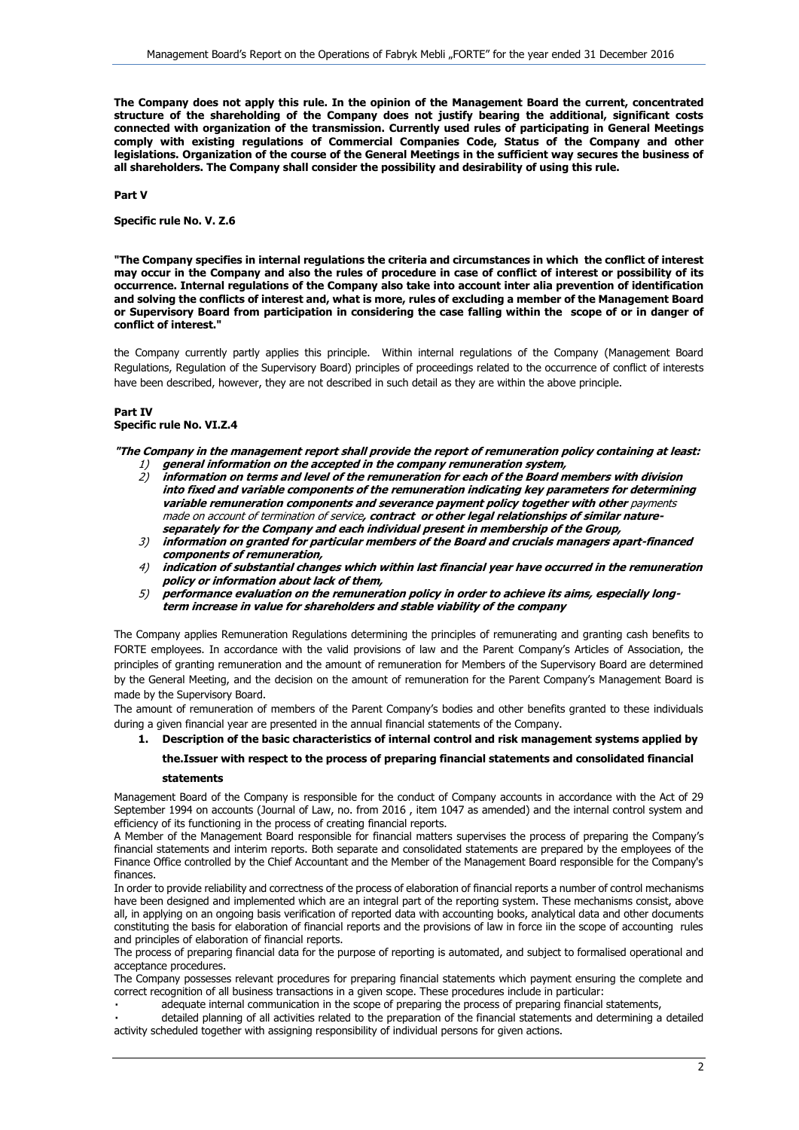**The Company does not apply this rule. In the opinion of the Management Board the current, concentrated structure of the shareholding of the Company does not justify bearing the additional, significant costs connected with organization of the transmission. Currently used rules of participating in General Meetings comply with existing regulations of Commercial Companies Code, Status of the Company and other legislations. Organization of the course of the General Meetings in the sufficient way secures the business of all shareholders. The Company shall consider the possibility and desirability of using this rule.**

**Part V**

**Specific rule No. V. Z.6**

**"The Company specifies in internal regulations the criteria and circumstances in which the conflict of interest may occur in the Company and also the rules of procedure in case of conflict of interest or possibility of its occurrence. Internal regulations of the Company also take into account inter alia prevention of identification and solving the conflicts of interest and, what is more, rules of excluding a member of the Management Board or Supervisory Board from participation in considering the case falling within the scope of or in danger of conflict of interest."**

the Company currently partly applies this principle. Within internal regulations of the Company (Management Board Regulations, Regulation of the Supervisory Board) principles of proceedings related to the occurrence of conflict of interests have been described, however, they are not described in such detail as they are within the above principle.

#### **Part IV Specific rule No. VI.Z.4**

**"The Company in the management report shall provide the report of remuneration policy containing at least:**

- 1) **general information on the accepted in the company remuneration system,**
- 2) **information on terms and level of the remuneration for each of the Board members with division into fixed and variable components of the remuneration indicating key parameters for determining variable remuneration components and severance payment policy together with other** payments [made on account of termination of service](http://context.reverso.net/tłumaczenie/angielski-polski/payments+made+on+account+of+termination+of+service)**, contract or other legal relationships of similar natureseparately for the Company and each individual present in membership of the Group,**
- 3) **information on granted for particular members of the Board and crucials managers apart-financed components of remuneration,**
- 4) **indication of substantial changes which within last financial year have occurred in the remuneration policy or information about lack of them,**
- 5) **performance evaluation on the remuneration policy in order to achieve its aims, especially longterm increase in value for shareholders and stable viability of the company**

The Company applies Remuneration Regulations determining the principles of remunerating and granting cash benefits to FORTE employees. In accordance with the valid provisions of law and the Parent Company's Articles of Association, the principles of granting remuneration and the amount of remuneration for Members of the Supervisory Board are determined by the General Meeting, and the decision on the amount of remuneration for the Parent Company's Management Board is made by the Supervisory Board.

The amount of remuneration of members of the Parent Company's bodies and other benefits granted to these individuals during a given financial year are presented in the annual financial statements of the Company.

**1. Description of the basic characteristics of internal control and risk management systems applied by** 

# **the.Issuer with respect to the process of preparing financial statements and consolidated financial**

#### **statements**

Management Board of the Company is responsible for the conduct of Company accounts in accordance with the Act of 29 September 1994 on accounts (Journal of Law, no. from 2016 , item 1047 as amended) and the internal control system and efficiency of its functioning in the process of creating financial reports.

A Member of the Management Board responsible for financial matters supervises the process of preparing the Company's financial statements and interim reports. Both separate and consolidated statements are prepared by the employees of the Finance Office controlled by the Chief Accountant and the Member of the Management Board responsible for the Company's finances.

In order to provide reliability and correctness of the process of elaboration of financial reports a number of control mechanisms have been designed and implemented which are an integral part of the reporting system. These mechanisms consist, above all, in applying on an ongoing basis verification of reported data with accounting books, analytical data and other documents constituting the basis for elaboration of financial reports and the provisions of law in force iin the scope of accounting rules and principles of elaboration of financial reports.

The process of preparing financial data for the purpose of reporting is automated, and subject to formalised operational and acceptance procedures.

The Company possesses relevant procedures for preparing financial statements which payment ensuring the complete and correct recognition of all business transactions in a given scope. These procedures include in particular:

adequate internal communication in the scope of preparing the process of preparing financial statements,

detailed planning of all activities related to the preparation of the financial statements and determining a detailed activity scheduled together with assigning responsibility of individual persons for given actions.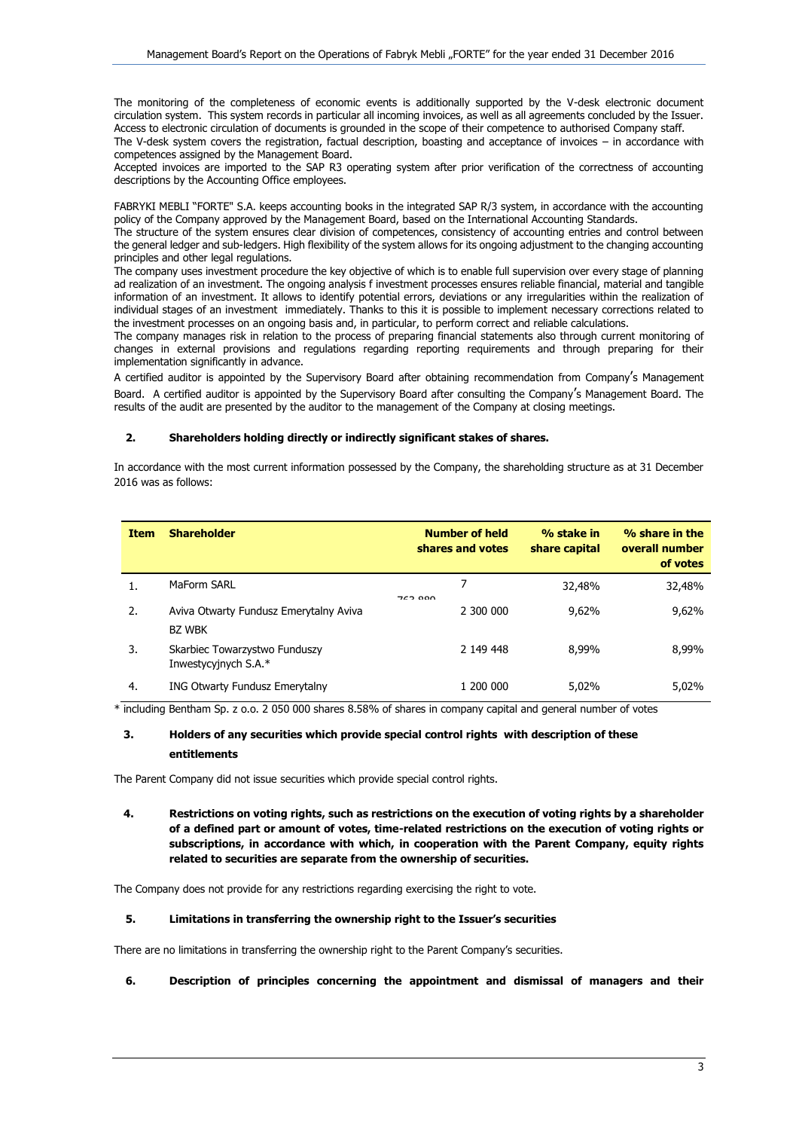The monitoring of the completeness of economic events is additionally supported by the V-desk electronic document circulation system. This system records in particular all incoming invoices, as well as all agreements concluded by the Issuer. Access to electronic circulation of documents is grounded in the scope of their competence to authorised Company staff.

The V-desk system covers the registration, factual description, boasting and acceptance of invoices – in accordance with competences assigned by the Management Board.

Accepted invoices are imported to the SAP R3 operating system after prior verification of the correctness of accounting descriptions by the Accounting Office employees.

FABRYKI MEBLI "FORTE" S.A. keeps accounting books in the integrated SAP R/3 system, in accordance with the accounting policy of the Company approved by the Management Board, based on the International Accounting Standards.

The structure of the system ensures clear division of competences, consistency of accounting entries and control between the general ledger and sub-ledgers. High flexibility of the system allows for its ongoing adjustment to the changing accounting principles and other legal regulations.

The company uses investment procedure the key objective of which is to enable full supervision over every stage of planning ad realization of an investment. The ongoing analysis f investment processes ensures reliable financial, material and tangible information of an investment. It allows to identify potential errors, deviations or any irregularities within the realization of individual stages of an investment immediately. Thanks to this it is possible to implement necessary corrections related to the investment processes on an ongoing basis and, in particular, to perform correct and reliable calculations.

The company manages risk in relation to the process of preparing financial statements also through current monitoring of changes in external provisions and regulations regarding reporting requirements and through preparing for their implementation significantly in advance.

A certified auditor is appointed by the Supervisory Board after obtaining recommendation from Company's Management Board. A certified auditor is appointed by the Supervisory Board after consulting the Company's Management Board. The results of the audit are presented by the auditor to the management of the Company at closing meetings.

### **2. Shareholders holding directly or indirectly significant stakes of shares.**

In accordance with the most current information possessed by the Company, the shareholding structure as at 31 December 2016 was as follows:

| <b>Item</b> | <b>Shareholder</b>                                      | <b>Number of held</b><br>shares and votes | % stake in<br>share capital | % share in the<br>overall number<br>of votes |
|-------------|---------------------------------------------------------|-------------------------------------------|-----------------------------|----------------------------------------------|
|             | MaForm SARL                                             | 70000                                     | 32,48%                      | 32,48%                                       |
| 2.          | Aviva Otwarty Fundusz Emerytalny Aviva<br><b>BZ WBK</b> | 2 300 000                                 | 9,62%                       | 9,62%                                        |
| 3.          | Skarbiec Towarzystwo Funduszy<br>Inwestycyjnych S.A.*   | 2 149 448                                 | 8.99%                       | 8,99%                                        |
| 4.          | <b>ING Otwarty Fundusz Emerytalny</b>                   | 1 200 000                                 | 5.02%                       | 5.02%                                        |

\* including Bentham Sp. z o.o. 2 050 000 shares 8.58% of shares in company capital and general number of votes

# **3. Holders of any securities which provide special control rights with description of these entitlements**

The Parent Company did not issue securities which provide special control rights.

### **4. Restrictions on voting rights, such as restrictions on the execution of voting rights by a shareholder of a defined part or amount of votes, time-related restrictions on the execution of voting rights or subscriptions, in accordance with which, in cooperation with the Parent Company, equity rights related to securities are separate from the ownership of securities.**

The Company does not provide for any restrictions regarding exercising the right to vote.

#### **5. Limitations in transferring the ownership right to the Issuer's securities**

There are no limitations in transferring the ownership right to the Parent Company's securities.

# **6. Description of principles concerning the appointment and dismissal of managers and their**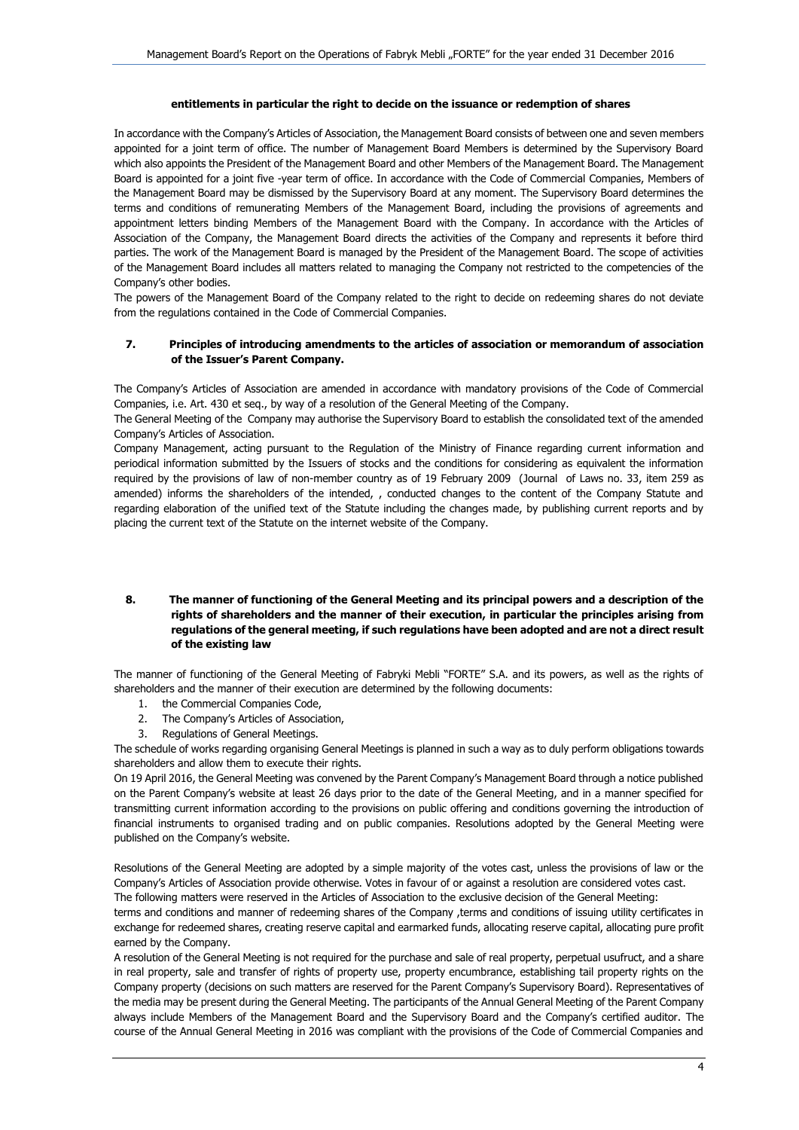#### **entitlements in particular the right to decide on the issuance or redemption of shares**

In accordance with the Company's Articles of Association, the Management Board consists of between one and seven members appointed for a joint term of office. The number of Management Board Members is determined by the Supervisory Board which also appoints the President of the Management Board and other Members of the Management Board. The Management Board is appointed for a joint five -year term of office. In accordance with the Code of Commercial Companies, Members of the Management Board may be dismissed by the Supervisory Board at any moment. The Supervisory Board determines the terms and conditions of remunerating Members of the Management Board, including the provisions of agreements and appointment letters binding Members of the Management Board with the Company. In accordance with the Articles of Association of the Company, the Management Board directs the activities of the Company and represents it before third parties. The work of the Management Board is managed by the President of the Management Board. The scope of activities of the Management Board includes all matters related to managing the Company not restricted to the competencies of the Company's other bodies.

The powers of the Management Board of the Company related to the right to decide on redeeming shares do not deviate from the regulations contained in the Code of Commercial Companies.

## **7. Principles of introducing amendments to the articles of association or memorandum of association of the Issuer's Parent Company.**

The Company's Articles of Association are amended in accordance with mandatory provisions of the Code of Commercial Companies, i.e. Art. 430 et seq., by way of a resolution of the General Meeting of the Company.

The General Meeting of the Company may authorise the Supervisory Board to establish the consolidated text of the amended Company's Articles of Association.

Company Management, acting pursuant to the Regulation of the Ministry of Finance regarding current information and periodical information submitted by the Issuers of stocks and the conditions for considering as equivalent the information required by the provisions of law of non-member country as of 19 February 2009 (Journal of Laws no. 33, item 259 as amended) informs the shareholders of the intended, , conducted changes to the content of the Company Statute and regarding elaboration of the unified text of the Statute including the changes made, by publishing current reports and by placing the current text of the Statute on the internet website of the Company.

### **8. The manner of functioning of the General Meeting and its principal powers and a description of the rights of shareholders and the manner of their execution, in particular the principles arising from regulations of the general meeting, if such regulations have been adopted and are not a direct result of the existing law**

The manner of functioning of the General Meeting of Fabryki Mebli "FORTE" S.A. and its powers, as well as the rights of shareholders and the manner of their execution are determined by the following documents:

- 1. the Commercial Companies Code,
- 2. The Company's Articles of Association,
- 3. Regulations of General Meetings.

The schedule of works regarding organising General Meetings is planned in such a way as to duly perform obligations towards shareholders and allow them to execute their rights.

On 19 April 2016, the General Meeting was convened by the Parent Company's Management Board through a notice published on the Parent Company's website at least 26 days prior to the date of the General Meeting, and in a manner specified for transmitting current information according to the provisions on public offering and conditions governing the introduction of financial instruments to organised trading and on public companies. Resolutions adopted by the General Meeting were published on the Company's website.

Resolutions of the General Meeting are adopted by a simple majority of the votes cast, unless the provisions of law or the Company's Articles of Association provide otherwise. Votes in favour of or against a resolution are considered votes cast.

The following matters were reserved in the Articles of Association to the exclusive decision of the General Meeting:

terms and conditions and manner of redeeming shares of the Company ,terms and conditions of issuing utility certificates in exchange for redeemed shares, creating reserve capital and earmarked funds, allocating reserve capital, allocating pure profit earned by the Company.

A resolution of the General Meeting is not required for the purchase and sale of real property, perpetual usufruct, and a share in real property, sale and transfer of rights of property use, property encumbrance, establishing tail property rights on the Company property (decisions on such matters are reserved for the Parent Company's Supervisory Board). Representatives of the media may be present during the General Meeting. The participants of the Annual General Meeting of the Parent Company always include Members of the Management Board and the Supervisory Board and the Company's certified auditor. The course of the Annual General Meeting in 2016 was compliant with the provisions of the Code of Commercial Companies and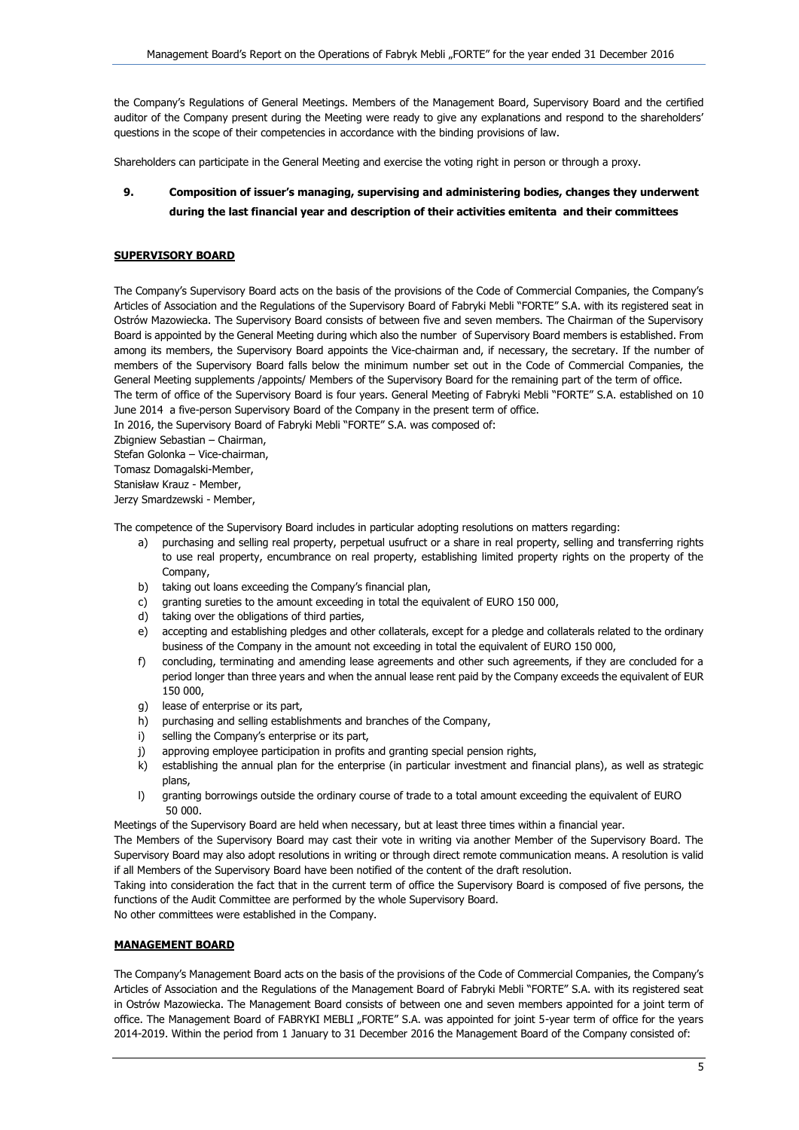the Company's Regulations of General Meetings. Members of the Management Board, Supervisory Board and the certified auditor of the Company present during the Meeting were ready to give any explanations and respond to the shareholders' questions in the scope of their competencies in accordance with the binding provisions of law.

Shareholders can participate in the General Meeting and exercise the voting right in person or through a proxy.

# **9. Composition of issuer's managing, supervising and administering bodies, changes they underwent during the last financial year and description of their activities emitenta and their committees**

### **SUPERVISORY BOARD**

The Company's Supervisory Board acts on the basis of the provisions of the Code of Commercial Companies, the Company's Articles of Association and the Regulations of the Supervisory Board of Fabryki Mebli "FORTE" S.A. with its registered seat in Ostrów Mazowiecka. The Supervisory Board consists of between five and seven members. The Chairman of the Supervisory Board is appointed by the General Meeting during which also the number of Supervisory Board members is established. From among its members, the Supervisory Board appoints the Vice-chairman and, if necessary, the secretary. If the number of members of the Supervisory Board falls below the minimum number set out in the Code of Commercial Companies, the General Meeting supplements /appoints/ Members of the Supervisory Board for the remaining part of the term of office.

The term of office of the Supervisory Board is four years. General Meeting of Fabryki Mebli "FORTE" S.A. established on 10 June 2014 a five-person Supervisory Board of the Company in the present term of office.

In 2016, the Supervisory Board of Fabryki Mebli "FORTE" S.A. was composed of:

Zbigniew Sebastian – Chairman,

Stefan Golonka – Vice-chairman,

Tomasz Domagalski-Member,

Stanisław Krauz - Member,

Jerzy Smardzewski - Member,

The competence of the Supervisory Board includes in particular adopting resolutions on matters regarding:

- a) purchasing and selling real property, perpetual usufruct or a share in real property, selling and transferring rights to use real property, encumbrance on real property, establishing limited property rights on the property of the Company,
- b) taking out loans exceeding the Company's financial plan,
- c) granting sureties to the amount exceeding in total the equivalent of EURO 150 000,
- d) taking over the obligations of third parties,
- e) accepting and establishing pledges and other collaterals, except for a pledge and collaterals related to the ordinary business of the Company in the amount not exceeding in total the equivalent of EURO 150 000,
- f) concluding, terminating and amending lease agreements and other such agreements, if they are concluded for a period longer than three years and when the annual lease rent paid by the Company exceeds the equivalent of EUR 150 000,
- g) lease of enterprise or its part,
- h) purchasing and selling establishments and branches of the Company,
- i) selling the Company's enterprise or its part,
- j) approving employee participation in profits and granting special pension rights,
- k) establishing the annual plan for the enterprise (in particular investment and financial plans), as well as strategic plans,
- l) granting borrowings outside the ordinary course of trade to a total amount exceeding the equivalent of EURO 50 000.

Meetings of the Supervisory Board are held when necessary, but at least three times within a financial year.

The Members of the Supervisory Board may cast their vote in writing via another Member of the Supervisory Board. The Supervisory Board may also adopt resolutions in writing or through direct remote communication means. A resolution is valid if all Members of the Supervisory Board have been notified of the content of the draft resolution.

Taking into consideration the fact that in the current term of office the Supervisory Board is composed of five persons, the functions of the Audit Committee are performed by the whole Supervisory Board.

No other committees were established in the Company.

### **MANAGEMENT BOARD**

The Company's Management Board acts on the basis of the provisions of the Code of Commercial Companies, the Company's Articles of Association and the Regulations of the Management Board of Fabryki Mebli "FORTE" S.A. with its registered seat in Ostrów Mazowiecka. The Management Board consists of between one and seven members appointed for a joint term of office. The Management Board of FABRYKI MEBLI "FORTE" S.A. was appointed for joint 5-year term of office for the years 2014-2019. Within the period from 1 January to 31 December 2016 the Management Board of the Company consisted of: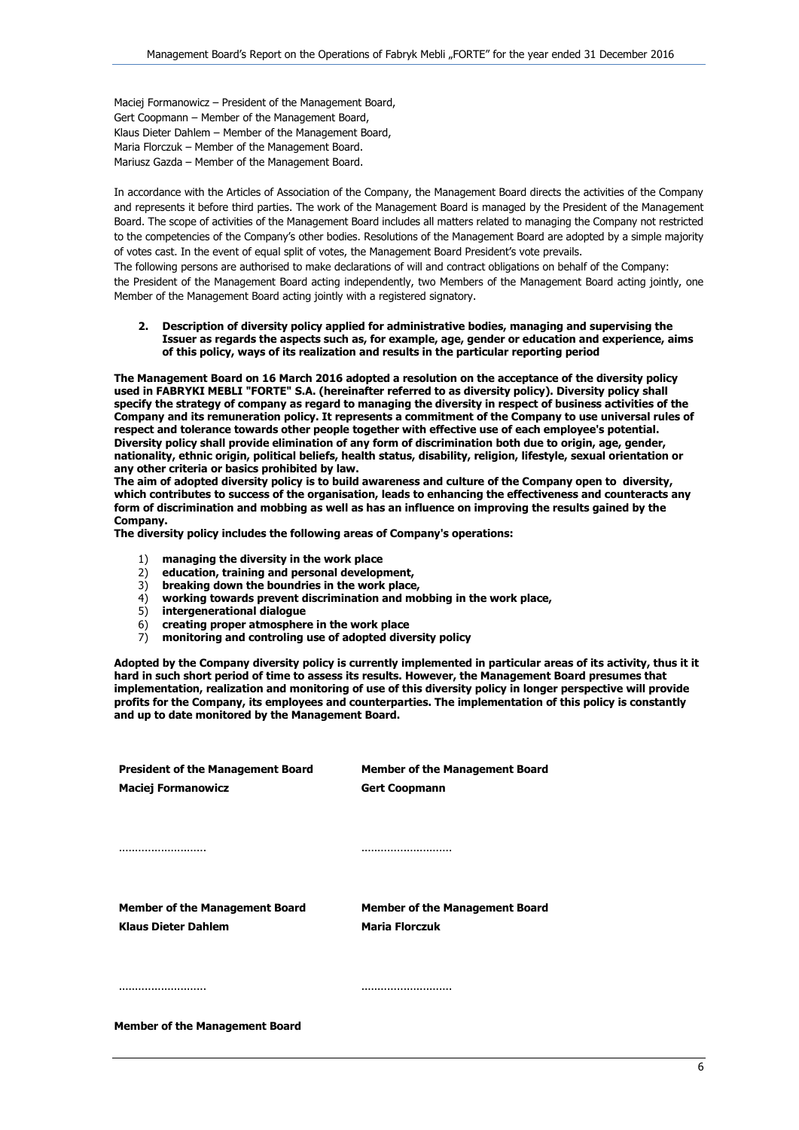Maciej Formanowicz – President of the Management Board, Gert Coopmann – Member of the Management Board, Klaus Dieter Dahlem – Member of the Management Board, Maria Florczuk – Member of the Management Board. Mariusz Gazda – Member of the Management Board.

In accordance with the Articles of Association of the Company, the Management Board directs the activities of the Company and represents it before third parties. The work of the Management Board is managed by the President of the Management Board. The scope of activities of the Management Board includes all matters related to managing the Company not restricted to the competencies of the Company's other bodies. Resolutions of the Management Board are adopted by a simple majority of votes cast. In the event of equal split of votes, the Management Board President's vote prevails.

The following persons are authorised to make declarations of will and contract obligations on behalf of the Company: the President of the Management Board acting independently, two Members of the Management Board acting jointly, one Member of the Management Board acting jointly with a registered signatory.

**2. Description of diversity policy applied for administrative bodies, managing and supervising the Issuer as regards the aspects such as, for example, age, gender or education and experience, aims of this policy, ways of its realization and results in the particular reporting period**

**The Management Board on 16 March 2016 adopted a resolution on the acceptance of the diversity policy used in FABRYKI MEBLI "FORTE" S.A. (hereinafter referred to as diversity policy). Diversity policy shall specify the strategy of company as regard to managing the diversity in respect of business activities of the Company and its remuneration policy. It represents a commitment of the Company to use universal rules of respect and tolerance towards other people together with effective use of each employee's potential. Diversity policy shall provide elimination of any form of discrimination both due to origin, age, gender, nationality, ethnic origin, political beliefs, health status, disability, religion, lifestyle, sexual orientation or any other criteria or basics prohibited by law.**

**The aim of adopted diversity policy is to build awareness and culture of the Company open to diversity, which contributes to success of the organisation, leads to enhancing the effectiveness and counteracts any form of discrimination and mobbing as well as has an influence on improving the results gained by the Company.**

**The diversity policy includes the following areas of Company's operations:**

- 1) **managing the diversity in the work place**
- 2) **education, training and personal development,**
- 3) **breaking down the boundries in the work place,**
- 4) **working towards prevent discrimination and mobbing in the work place,**
- 5) **intergenerational dialogue**
- 6) **creating proper atmosphere in the work place**
- 7) **monitoring and controling use of adopted diversity policy**

**Adopted by the Company diversity policy is currently implemented in particular areas of its activity, thus it it hard in such short period of time to assess its results. However, the Management Board presumes that implementation, realization and monitoring of use of this diversity policy in longer perspective will provide profits for the Company, its employees and counterparties. The implementation of this policy is constantly and up to date monitored by the Management Board.**

| <b>President of the Management Board</b> | <b>Member of the Management Board</b> |
|------------------------------------------|---------------------------------------|
| <b>Maciej Formanowicz</b>                | <b>Gert Coopmann</b>                  |
|                                          |                                       |
|                                          |                                       |
|                                          |                                       |
|                                          |                                       |
|                                          |                                       |
| <b>Member of the Management Board</b>    | <b>Member of the Management Board</b> |
| <b>Klaus Dieter Dahlem</b>               | <b>Maria Florczuk</b>                 |
|                                          |                                       |
|                                          |                                       |
|                                          |                                       |
|                                          |                                       |
| <b>Member of the Management Board</b>    |                                       |